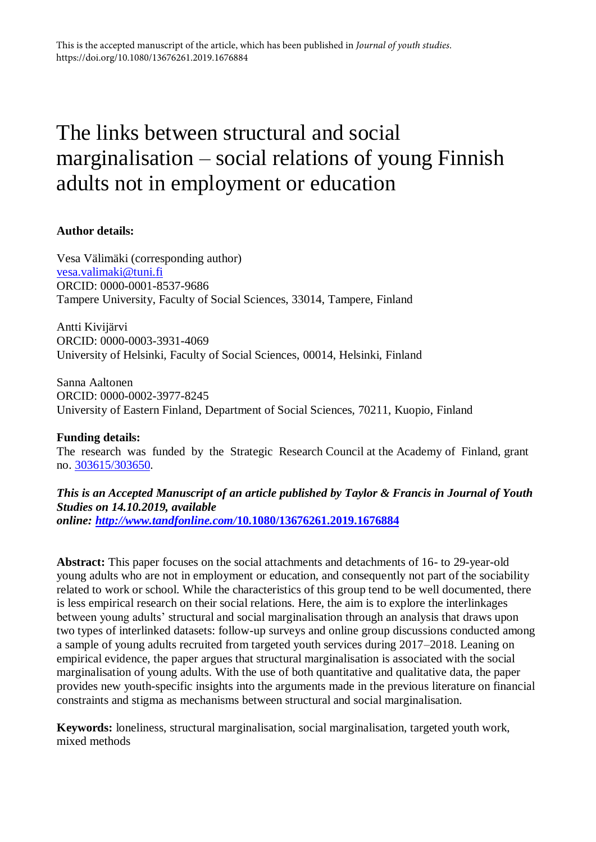# The links between structural and social marginalisation – social relations of young Finnish adults not in employment or education

#### **Author details:**

Vesa Välimäki (corresponding author) [vesa.valimaki@tuni.fi](mailto:vesa.valimaki@tuni.fi) ORCID: 0000-0001-8537-9686 Tampere University, Faculty of Social Sciences, 33014, Tampere, Finland

Antti Kivijärvi ORCID: 0000-0003-3931-4069 University of Helsinki, Faculty of Social Sciences, 00014, Helsinki, Finland

Sanna Aaltonen ORCID: 0000-0002-3977-8245 University of Eastern Finland, Department of Social Sciences, 70211, Kuopio, Finland

#### **Funding details:**

The research was funded by the Strategic Research Council at the Academy of Finland, grant no. [303615/303650.](about:blank)

#### *This is an Accepted Manuscript of an article published by Taylor & Francis in Journal of Youth Studies on 14.10.2019, available*

*online: [http://www.tandfonline.com/](http://www.tandfonline.com/10.1080/13676261.2019.1676884)***[10.1080/13676261.2019.1676884](http://www.tandfonline.com/10.1080/13676261.2019.1676884)**

**Abstract:** This paper focuses on the social attachments and detachments of 16- to 29-year-old young adults who are not in employment or education, and consequently not part of the sociability related to work or school. While the characteristics of this group tend to be well documented, there is less empirical research on their social relations. Here, the aim is to explore the interlinkages between young adults' structural and social marginalisation through an analysis that draws upon two types of interlinked datasets: follow-up surveys and online group discussions conducted among a sample of young adults recruited from targeted youth services during 2017–2018. Leaning on empirical evidence, the paper argues that structural marginalisation is associated with the social marginalisation of young adults. With the use of both quantitative and qualitative data, the paper provides new youth-specific insights into the arguments made in the previous literature on financial constraints and stigma as mechanisms between structural and social marginalisation.

**Keywords:** loneliness, structural marginalisation, social marginalisation, targeted youth work, mixed methods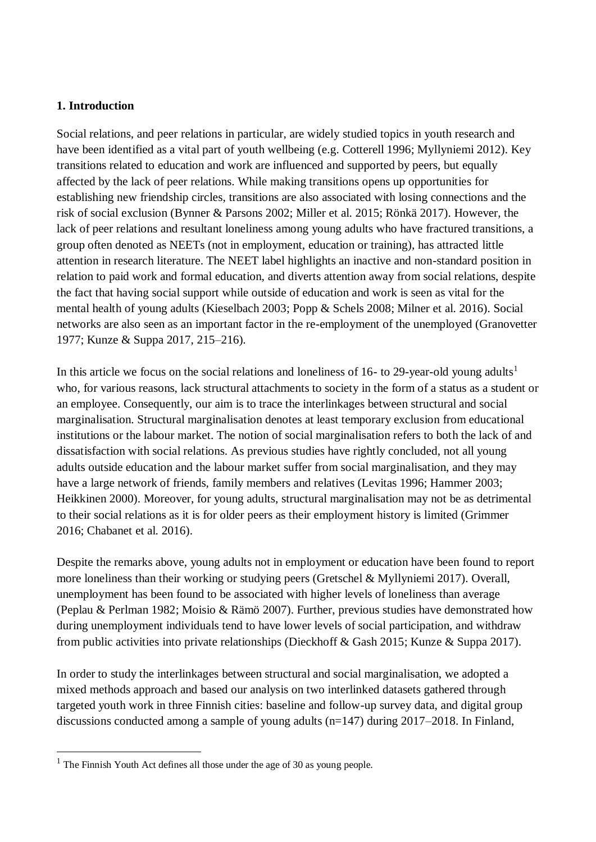#### **1. Introduction**

Social relations, and peer relations in particular, are widely studied topics in youth research and have been identified as a vital part of youth wellbeing (e.g. Cotterell 1996; Myllyniemi 2012). Key transitions related to education and work are influenced and supported by peers, but equally affected by the lack of peer relations. While making transitions opens up opportunities for establishing new friendship circles, transitions are also associated with losing connections and the risk of social exclusion (Bynner & Parsons 2002; Miller et al. 2015; Rönkä 2017). However, the lack of peer relations and resultant loneliness among young adults who have fractured transitions, a group often denoted as NEETs (not in employment, education or training), has attracted little attention in research literature. The NEET label highlights an inactive and non-standard position in relation to paid work and formal education, and diverts attention away from social relations, despite the fact that having social support while outside of education and work is seen as vital for the mental health of young adults (Kieselbach 2003; Popp & Schels 2008; Milner et al. 2016). Social networks are also seen as an important factor in the re-employment of the unemployed (Granovetter 1977; Kunze & Suppa 2017, 215–216).

In this article we focus on the social relations and loneliness of 16- to 29-year-old young adults<sup>1</sup> who, for various reasons, lack structural attachments to society in the form of a status as a student or an employee. Consequently, our aim is to trace the interlinkages between structural and social marginalisation. Structural marginalisation denotes at least temporary exclusion from educational institutions or the labour market. The notion of social marginalisation refers to both the lack of and dissatisfaction with social relations. As previous studies have rightly concluded, not all young adults outside education and the labour market suffer from social marginalisation, and they may have a large network of friends, family members and relatives (Levitas 1996; Hammer 2003; Heikkinen 2000). Moreover, for young adults, structural marginalisation may not be as detrimental to their social relations as it is for older peers as their employment history is limited (Grimmer 2016; Chabanet et al. 2016).

Despite the remarks above, young adults not in employment or education have been found to report more loneliness than their working or studying peers (Gretschel & Myllyniemi 2017). Overall, unemployment has been found to be associated with higher levels of loneliness than average (Peplau & Perlman 1982; Moisio & Rämö 2007). Further, previous studies have demonstrated how during unemployment individuals tend to have lower levels of social participation, and withdraw from public activities into private relationships (Dieckhoff & Gash 2015; Kunze & Suppa 2017).

In order to study the interlinkages between structural and social marginalisation, we adopted a mixed methods approach and based our analysis on two interlinked datasets gathered through targeted youth work in three Finnish cities: baseline and follow-up survey data, and digital group discussions conducted among a sample of young adults (n=147) during 2017–2018. In Finland,

 $<sup>1</sup>$  The Finnish Youth Act defines all those under the age of 30 as young people.</sup>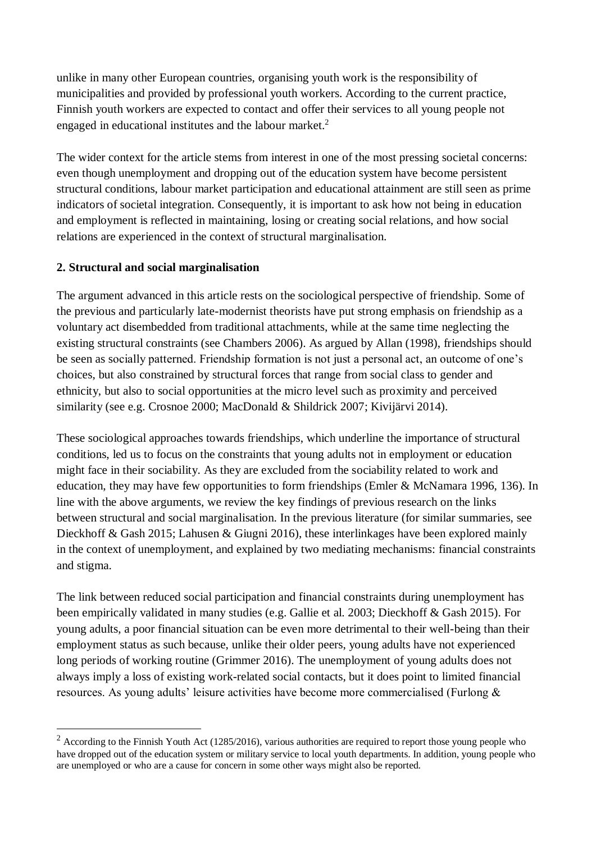unlike in many other European countries, organising youth work is the responsibility of municipalities and provided by professional youth workers. According to the current practice, Finnish youth workers are expected to contact and offer their services to all young people not engaged in educational institutes and the labour market.<sup>2</sup>

The wider context for the article stems from interest in one of the most pressing societal concerns: even though unemployment and dropping out of the education system have become persistent structural conditions, labour market participation and educational attainment are still seen as prime indicators of societal integration. Consequently, it is important to ask how not being in education and employment is reflected in maintaining, losing or creating social relations, and how social relations are experienced in the context of structural marginalisation.

#### **2. Structural and social marginalisation**

1

The argument advanced in this article rests on the sociological perspective of friendship. Some of the previous and particularly late-modernist theorists have put strong emphasis on friendship as a voluntary act disembedded from traditional attachments, while at the same time neglecting the existing structural constraints (see Chambers 2006). As argued by Allan (1998), friendships should be seen as socially patterned. Friendship formation is not just a personal act, an outcome of one's choices, but also constrained by structural forces that range from social class to gender and ethnicity, but also to social opportunities at the micro level such as proximity and perceived similarity (see e.g. Crosnoe 2000; MacDonald & Shildrick 2007; Kivijärvi 2014).

These sociological approaches towards friendships, which underline the importance of structural conditions, led us to focus on the constraints that young adults not in employment or education might face in their sociability. As they are excluded from the sociability related to work and education, they may have few opportunities to form friendships (Emler & McNamara 1996, 136). In line with the above arguments, we review the key findings of previous research on the links between structural and social marginalisation. In the previous literature (for similar summaries, see Dieckhoff & Gash 2015; Lahusen & Giugni 2016), these interlinkages have been explored mainly in the context of unemployment, and explained by two mediating mechanisms: financial constraints and stigma.

The link between reduced social participation and financial constraints during unemployment has been empirically validated in many studies (e.g. Gallie et al. 2003; Dieckhoff & Gash 2015). For young adults, a poor financial situation can be even more detrimental to their well-being than their employment status as such because, unlike their older peers, young adults have not experienced long periods of working routine (Grimmer 2016). The unemployment of young adults does not always imply a loss of existing work-related social contacts, but it does point to limited financial resources. As young adults' leisure activities have become more commercialised (Furlong &

<sup>&</sup>lt;sup>2</sup> According to the Finnish Youth Act (1285/2016), various authorities are required to report those young people who have dropped out of the education system or military service to local youth departments. In addition, young people who are unemployed or who are a cause for concern in some other ways might also be reported.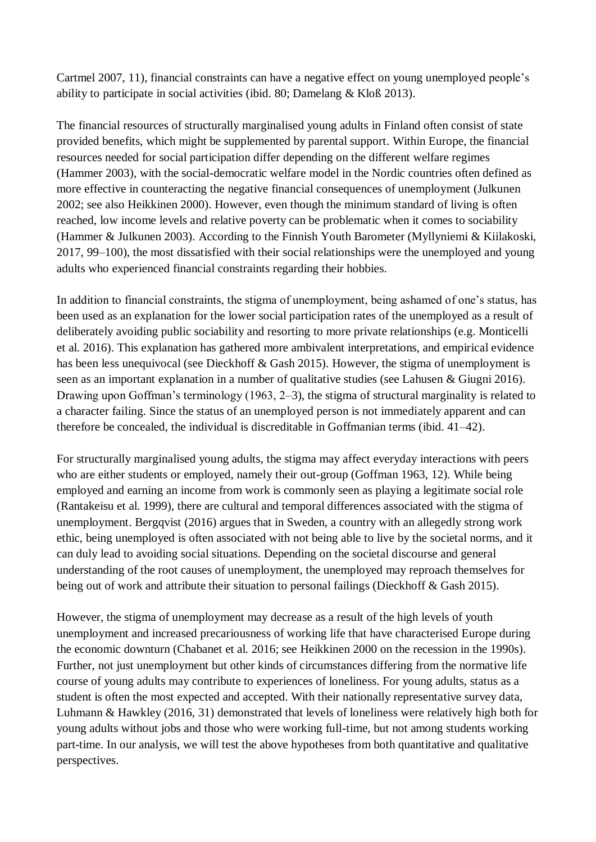Cartmel 2007, 11), financial constraints can have a negative effect on young unemployed people's ability to participate in social activities (ibid. 80; Damelang & Kloß 2013).

The financial resources of structurally marginalised young adults in Finland often consist of state provided benefits, which might be supplemented by parental support. Within Europe, the financial resources needed for social participation differ depending on the different welfare regimes (Hammer 2003), with the social-democratic welfare model in the Nordic countries often defined as more effective in counteracting the negative financial consequences of unemployment (Julkunen 2002; see also Heikkinen 2000). However, even though the minimum standard of living is often reached, low income levels and relative poverty can be problematic when it comes to sociability (Hammer & Julkunen 2003). According to the Finnish Youth Barometer (Myllyniemi & Kiilakoski, 2017, 99–100), the most dissatisfied with their social relationships were the unemployed and young adults who experienced financial constraints regarding their hobbies.

In addition to financial constraints, the stigma of unemployment, being ashamed of one's status, has been used as an explanation for the lower social participation rates of the unemployed as a result of deliberately avoiding public sociability and resorting to more private relationships (e.g. Monticelli et al. 2016). This explanation has gathered more ambivalent interpretations, and empirical evidence has been less unequivocal (see Dieckhoff & Gash 2015). However, the stigma of unemployment is seen as an important explanation in a number of qualitative studies (see Lahusen & Giugni 2016). Drawing upon Goffman's terminology (1963, 2–3), the stigma of structural marginality is related to a character failing. Since the status of an unemployed person is not immediately apparent and can therefore be concealed, the individual is discreditable in Goffmanian terms (ibid. 41–42).

For structurally marginalised young adults, the stigma may affect everyday interactions with peers who are either students or employed, namely their out-group (Goffman 1963, 12). While being employed and earning an income from work is commonly seen as playing a legitimate social role (Rantakeisu et al. 1999), there are cultural and temporal differences associated with the stigma of unemployment. Bergqvist (2016) argues that in Sweden, a country with an allegedly strong work ethic, being unemployed is often associated with not being able to live by the societal norms, and it can duly lead to avoiding social situations. Depending on the societal discourse and general understanding of the root causes of unemployment, the unemployed may reproach themselves for being out of work and attribute their situation to personal failings (Dieckhoff & Gash 2015).

However, the stigma of unemployment may decrease as a result of the high levels of youth unemployment and increased precariousness of working life that have characterised Europe during the economic downturn (Chabanet et al. 2016; see Heikkinen 2000 on the recession in the 1990s). Further, not just unemployment but other kinds of circumstances differing from the normative life course of young adults may contribute to experiences of loneliness. For young adults, status as a student is often the most expected and accepted. With their nationally representative survey data, Luhmann & Hawkley (2016, 31) demonstrated that levels of loneliness were relatively high both for young adults without jobs and those who were working full-time, but not among students working part-time. In our analysis, we will test the above hypotheses from both quantitative and qualitative perspectives.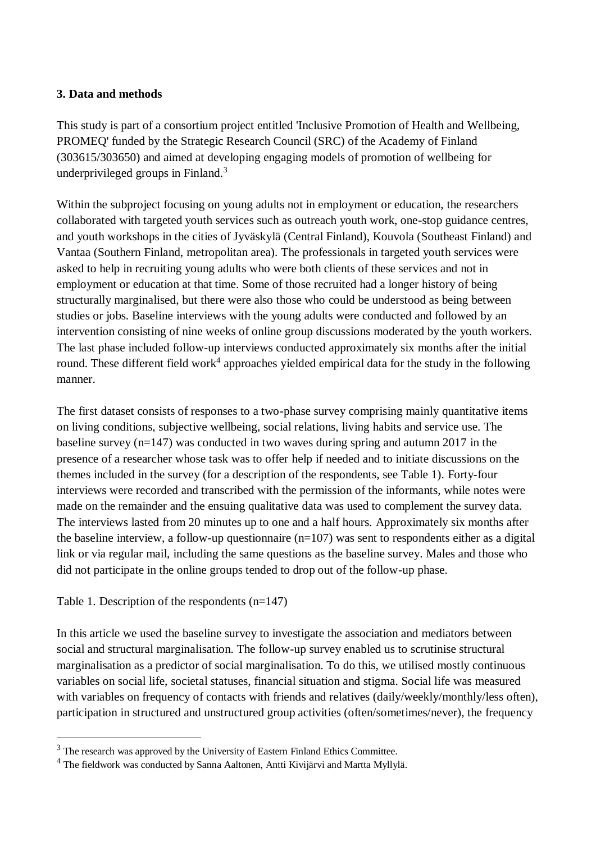#### **3. Data and methods**

This study is part of a consortium project entitled 'Inclusive Promotion of Health and Wellbeing, PROMEQ' funded by the Strategic Research Council (SRC) of the Academy of Finland (303615/303650) and aimed at developing engaging models of promotion of wellbeing for underprivileged groups in Finland.<sup>3</sup>

Within the subproject focusing on young adults not in employment or education, the researchers collaborated with targeted youth services such as outreach youth work, one-stop guidance centres, and youth workshops in the cities of Jyväskylä (Central Finland), Kouvola (Southeast Finland) and Vantaa (Southern Finland, metropolitan area). The professionals in targeted youth services were asked to help in recruiting young adults who were both clients of these services and not in employment or education at that time. Some of those recruited had a longer history of being structurally marginalised, but there were also those who could be understood as being between studies or jobs. Baseline interviews with the young adults were conducted and followed by an intervention consisting of nine weeks of online group discussions moderated by the youth workers. The last phase included follow-up interviews conducted approximately six months after the initial round. These different field work<sup>4</sup> approaches yielded empirical data for the study in the following manner.

The first dataset consists of responses to a two-phase survey comprising mainly quantitative items on living conditions, subjective wellbeing, social relations, living habits and service use. The baseline survey (n=147) was conducted in two waves during spring and autumn 2017 in the presence of a researcher whose task was to offer help if needed and to initiate discussions on the themes included in the survey (for a description of the respondents, see Table 1). Forty-four interviews were recorded and transcribed with the permission of the informants, while notes were made on the remainder and the ensuing qualitative data was used to complement the survey data. The interviews lasted from 20 minutes up to one and a half hours. Approximately six months after the baseline interview, a follow-up questionnaire  $(n=107)$  was sent to respondents either as a digital link or via regular mail, including the same questions as the baseline survey. Males and those who did not participate in the online groups tended to drop out of the follow-up phase.

#### Table 1. Description of the respondents (n=147)

1

In this article we used the baseline survey to investigate the association and mediators between social and structural marginalisation. The follow-up survey enabled us to scrutinise structural marginalisation as a predictor of social marginalisation. To do this, we utilised mostly continuous variables on social life, societal statuses, financial situation and stigma. Social life was measured with variables on frequency of contacts with friends and relatives (daily/weekly/monthly/less often), participation in structured and unstructured group activities (often/sometimes/never), the frequency

 $3$  The research was approved by the University of Eastern Finland Ethics Committee.

<sup>4</sup> The fieldwork was conducted by Sanna Aaltonen, Antti Kivijärvi and Martta Myllylä.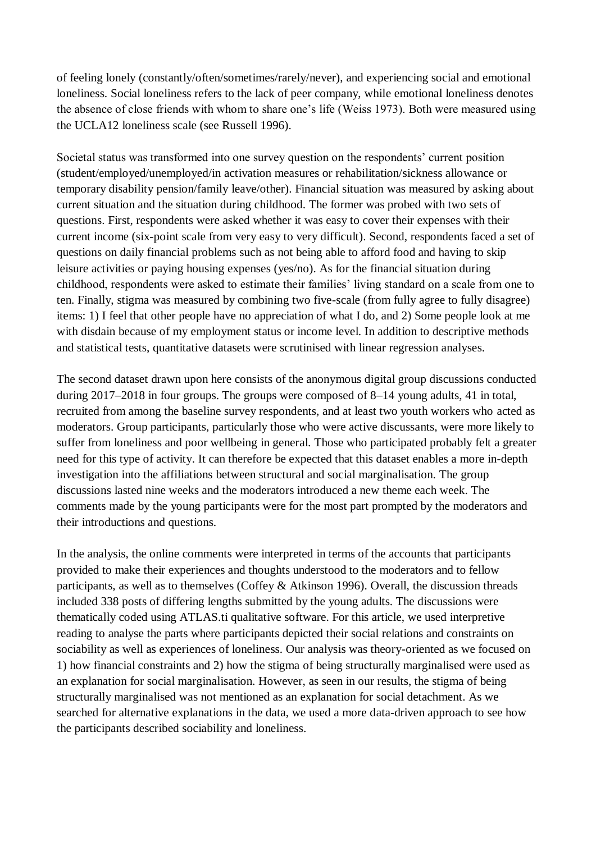of feeling lonely (constantly/often/sometimes/rarely/never), and experiencing social and emotional loneliness. Social loneliness refers to the lack of peer company, while emotional loneliness denotes the absence of close friends with whom to share one's life (Weiss 1973). Both were measured using the UCLA12 loneliness scale (see Russell 1996).

Societal status was transformed into one survey question on the respondents' current position (student/employed/unemployed/in activation measures or rehabilitation/sickness allowance or temporary disability pension/family leave/other). Financial situation was measured by asking about current situation and the situation during childhood. The former was probed with two sets of questions. First, respondents were asked whether it was easy to cover their expenses with their current income (six-point scale from very easy to very difficult). Second, respondents faced a set of questions on daily financial problems such as not being able to afford food and having to skip leisure activities or paying housing expenses (yes/no). As for the financial situation during childhood, respondents were asked to estimate their families' living standard on a scale from one to ten. Finally, stigma was measured by combining two five-scale (from fully agree to fully disagree) items: 1) I feel that other people have no appreciation of what I do, and 2) Some people look at me with disdain because of my employment status or income level. In addition to descriptive methods and statistical tests, quantitative datasets were scrutinised with linear regression analyses.

The second dataset drawn upon here consists of the anonymous digital group discussions conducted during 2017–2018 in four groups. The groups were composed of 8–14 young adults, 41 in total, recruited from among the baseline survey respondents, and at least two youth workers who acted as moderators. Group participants, particularly those who were active discussants, were more likely to suffer from loneliness and poor wellbeing in general. Those who participated probably felt a greater need for this type of activity. It can therefore be expected that this dataset enables a more in-depth investigation into the affiliations between structural and social marginalisation. The group discussions lasted nine weeks and the moderators introduced a new theme each week. The comments made by the young participants were for the most part prompted by the moderators and their introductions and questions.

In the analysis, the online comments were interpreted in terms of the accounts that participants provided to make their experiences and thoughts understood to the moderators and to fellow participants, as well as to themselves (Coffey & Atkinson 1996). Overall, the discussion threads included 338 posts of differing lengths submitted by the young adults. The discussions were thematically coded using ATLAS.ti qualitative software. For this article, we used interpretive reading to analyse the parts where participants depicted their social relations and constraints on sociability as well as experiences of loneliness. Our analysis was theory-oriented as we focused on 1) how financial constraints and 2) how the stigma of being structurally marginalised were used as an explanation for social marginalisation. However, as seen in our results, the stigma of being structurally marginalised was not mentioned as an explanation for social detachment. As we searched for alternative explanations in the data, we used a more data-driven approach to see how the participants described sociability and loneliness.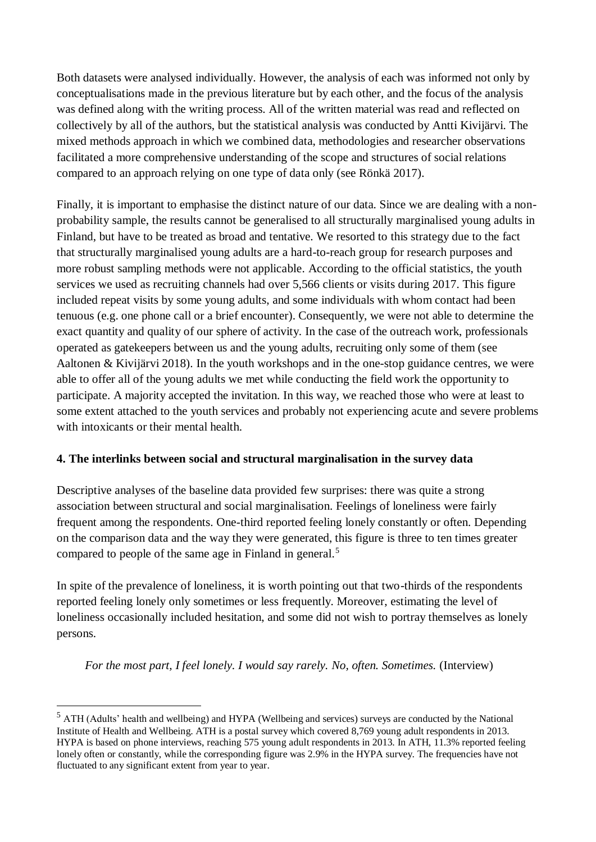Both datasets were analysed individually. However, the analysis of each was informed not only by conceptualisations made in the previous literature but by each other, and the focus of the analysis was defined along with the writing process. All of the written material was read and reflected on collectively by all of the authors, but the statistical analysis was conducted by Antti Kivijärvi. The mixed methods approach in which we combined data, methodologies and researcher observations facilitated a more comprehensive understanding of the scope and structures of social relations compared to an approach relying on one type of data only (see Rönkä 2017).

Finally, it is important to emphasise the distinct nature of our data. Since we are dealing with a nonprobability sample, the results cannot be generalised to all structurally marginalised young adults in Finland, but have to be treated as broad and tentative. We resorted to this strategy due to the fact that structurally marginalised young adults are a hard-to-reach group for research purposes and more robust sampling methods were not applicable. According to the official statistics, the youth services we used as recruiting channels had over 5,566 clients or visits during 2017. This figure included repeat visits by some young adults, and some individuals with whom contact had been tenuous (e.g. one phone call or a brief encounter). Consequently, we were not able to determine the exact quantity and quality of our sphere of activity. In the case of the outreach work, professionals operated as gatekeepers between us and the young adults, recruiting only some of them (see Aaltonen & Kivijärvi 2018). In the youth workshops and in the one-stop guidance centres, we were able to offer all of the young adults we met while conducting the field work the opportunity to participate. A majority accepted the invitation. In this way, we reached those who were at least to some extent attached to the youth services and probably not experiencing acute and severe problems with intoxicants or their mental health.

#### **4. The interlinks between social and structural marginalisation in the survey data**

Descriptive analyses of the baseline data provided few surprises: there was quite a strong association between structural and social marginalisation. Feelings of loneliness were fairly frequent among the respondents. One-third reported feeling lonely constantly or often. Depending on the comparison data and the way they were generated, this figure is three to ten times greater compared to people of the same age in Finland in general.<sup>5</sup>

In spite of the prevalence of loneliness, it is worth pointing out that two-thirds of the respondents reported feeling lonely only sometimes or less frequently. Moreover, estimating the level of loneliness occasionally included hesitation, and some did not wish to portray themselves as lonely persons.

*For the most part, I feel lonely. I would say rarely. No, often. Sometimes.* (Interview)

<sup>5</sup> ATH (Adults' health and wellbeing) and HYPA (Wellbeing and services) surveys are conducted by the National Institute of Health and Wellbeing. ATH is a postal survey which covered 8,769 young adult respondents in 2013. HYPA is based on phone interviews, reaching 575 young adult respondents in 2013. In ATH, 11.3% reported feeling lonely often or constantly, while the corresponding figure was 2.9% in the HYPA survey. The frequencies have not fluctuated to any significant extent from year to year.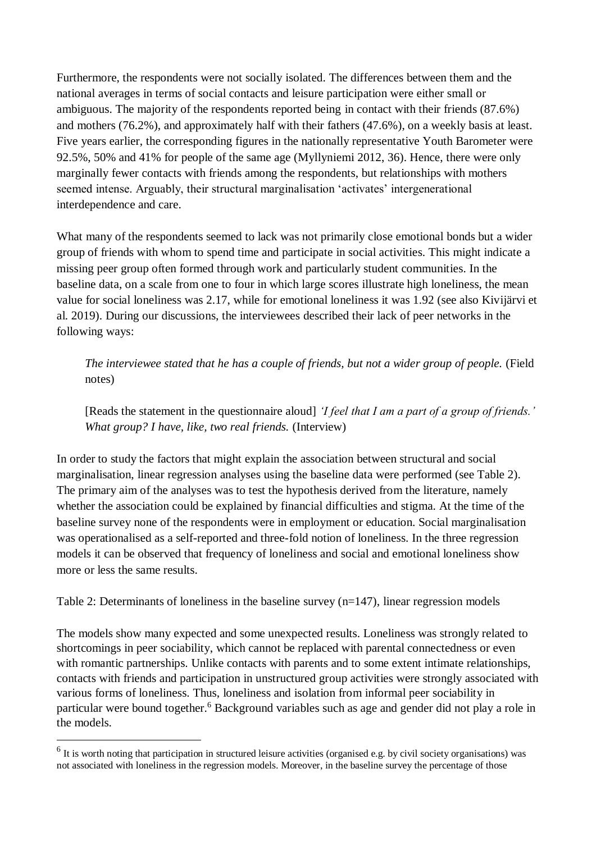Furthermore, the respondents were not socially isolated. The differences between them and the national averages in terms of social contacts and leisure participation were either small or ambiguous. The majority of the respondents reported being in contact with their friends (87.6%) and mothers (76.2%), and approximately half with their fathers (47.6%), on a weekly basis at least. Five years earlier, the corresponding figures in the nationally representative Youth Barometer were 92.5%, 50% and 41% for people of the same age (Myllyniemi 2012, 36). Hence, there were only marginally fewer contacts with friends among the respondents, but relationships with mothers seemed intense. Arguably, their structural marginalisation 'activates' intergenerational interdependence and care.

What many of the respondents seemed to lack was not primarily close emotional bonds but a wider group of friends with whom to spend time and participate in social activities. This might indicate a missing peer group often formed through work and particularly student communities. In the baseline data, on a scale from one to four in which large scores illustrate high loneliness, the mean value for social loneliness was 2.17, while for emotional loneliness it was 1.92 (see also Kivijärvi et al. 2019). During our discussions, the interviewees described their lack of peer networks in the following ways:

*The interviewee stated that he has a couple of friends, but not a wider group of people.* (Field notes)

[Reads the statement in the questionnaire aloud] *'I feel that I am a part of a group of friends.' What group? I have, like, two real friends.* (Interview)

In order to study the factors that might explain the association between structural and social marginalisation, linear regression analyses using the baseline data were performed (see Table 2). The primary aim of the analyses was to test the hypothesis derived from the literature, namely whether the association could be explained by financial difficulties and stigma. At the time of the baseline survey none of the respondents were in employment or education. Social marginalisation was operationalised as a self-reported and three-fold notion of loneliness. In the three regression models it can be observed that frequency of loneliness and social and emotional loneliness show more or less the same results.

Table 2: Determinants of loneliness in the baseline survey (n=147), linear regression models

The models show many expected and some unexpected results. Loneliness was strongly related to shortcomings in peer sociability, which cannot be replaced with parental connectedness or even with romantic partnerships. Unlike contacts with parents and to some extent intimate relationships, contacts with friends and participation in unstructured group activities were strongly associated with various forms of loneliness. Thus, loneliness and isolation from informal peer sociability in particular were bound together.<sup>6</sup> Background variables such as age and gender did not play a role in the models.

 $<sup>6</sup>$  It is worth noting that participation in structured leisure activities (organised e.g. by civil society organisations) was</sup> not associated with loneliness in the regression models. Moreover, in the baseline survey the percentage of those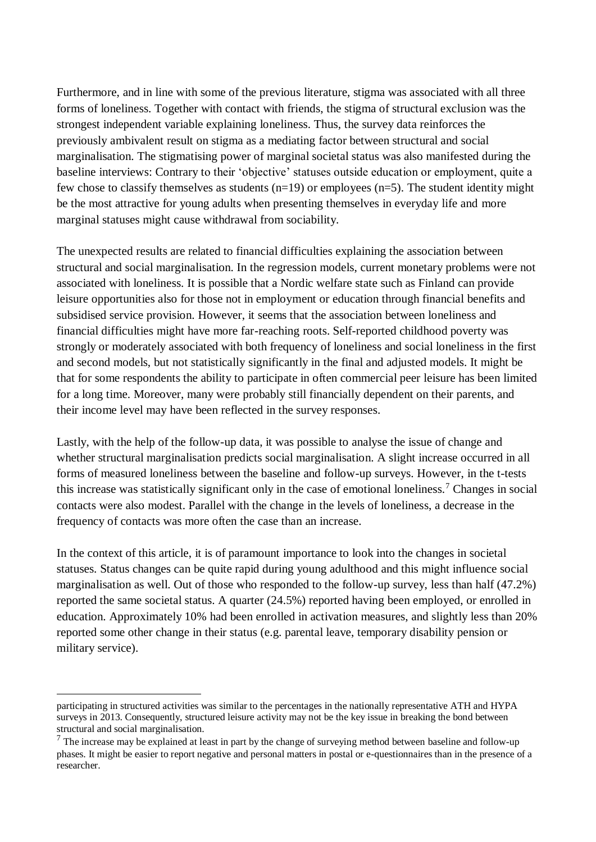Furthermore, and in line with some of the previous literature, stigma was associated with all three forms of loneliness. Together with contact with friends, the stigma of structural exclusion was the strongest independent variable explaining loneliness. Thus, the survey data reinforces the previously ambivalent result on stigma as a mediating factor between structural and social marginalisation. The stigmatising power of marginal societal status was also manifested during the baseline interviews: Contrary to their 'objective' statuses outside education or employment, quite a few chose to classify themselves as students  $(n=19)$  or employees  $(n=5)$ . The student identity might be the most attractive for young adults when presenting themselves in everyday life and more marginal statuses might cause withdrawal from sociability.

The unexpected results are related to financial difficulties explaining the association between structural and social marginalisation. In the regression models, current monetary problems were not associated with loneliness. It is possible that a Nordic welfare state such as Finland can provide leisure opportunities also for those not in employment or education through financial benefits and subsidised service provision. However, it seems that the association between loneliness and financial difficulties might have more far-reaching roots. Self-reported childhood poverty was strongly or moderately associated with both frequency of loneliness and social loneliness in the first and second models, but not statistically significantly in the final and adjusted models. It might be that for some respondents the ability to participate in often commercial peer leisure has been limited for a long time. Moreover, many were probably still financially dependent on their parents, and their income level may have been reflected in the survey responses.

Lastly, with the help of the follow-up data, it was possible to analyse the issue of change and whether structural marginalisation predicts social marginalisation. A slight increase occurred in all forms of measured loneliness between the baseline and follow-up surveys. However, in the t-tests this increase was statistically significant only in the case of emotional loneliness.<sup>7</sup> Changes in social contacts were also modest. Parallel with the change in the levels of loneliness, a decrease in the frequency of contacts was more often the case than an increase.

In the context of this article, it is of paramount importance to look into the changes in societal statuses. Status changes can be quite rapid during young adulthood and this might influence social marginalisation as well. Out of those who responded to the follow-up survey, less than half (47.2%) reported the same societal status. A quarter (24.5%) reported having been employed, or enrolled in education. Approximately 10% had been enrolled in activation measures, and slightly less than 20% reported some other change in their status (e.g. parental leave, temporary disability pension or military service).

participating in structured activities was similar to the percentages in the nationally representative ATH and HYPA surveys in 2013. Consequently, structured leisure activity may not be the key issue in breaking the bond between structural and social marginalisation.

 $<sup>7</sup>$  The increase may be explained at least in part by the change of surveying method between baseline and follow-up</sup> phases. It might be easier to report negative and personal matters in postal or e-questionnaires than in the presence of a researcher.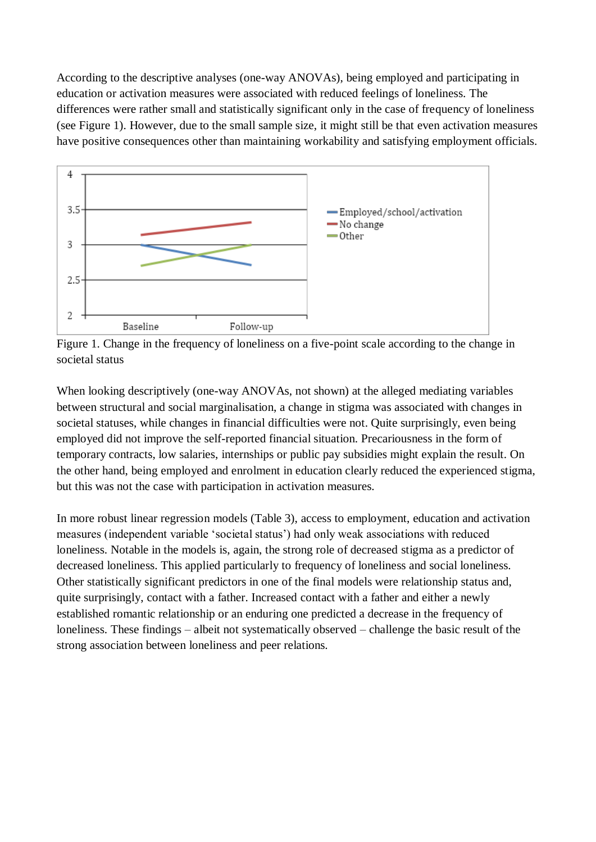According to the descriptive analyses (one-way ANOVAs), being employed and participating in education or activation measures were associated with reduced feelings of loneliness. The differences were rather small and statistically significant only in the case of frequency of loneliness (see Figure 1). However, due to the small sample size, it might still be that even activation measures have positive consequences other than maintaining workability and satisfying employment officials.



Figure 1. Change in the frequency of loneliness on a five-point scale according to the change in societal status

When looking descriptively (one-way ANOVAs, not shown) at the alleged mediating variables between structural and social marginalisation, a change in stigma was associated with changes in societal statuses, while changes in financial difficulties were not. Quite surprisingly, even being employed did not improve the self-reported financial situation. Precariousness in the form of temporary contracts, low salaries, internships or public pay subsidies might explain the result. On the other hand, being employed and enrolment in education clearly reduced the experienced stigma, but this was not the case with participation in activation measures.

In more robust linear regression models (Table 3), access to employment, education and activation measures (independent variable 'societal status') had only weak associations with reduced loneliness. Notable in the models is, again, the strong role of decreased stigma as a predictor of decreased loneliness. This applied particularly to frequency of loneliness and social loneliness. Other statistically significant predictors in one of the final models were relationship status and, quite surprisingly, contact with a father. Increased contact with a father and either a newly established romantic relationship or an enduring one predicted a decrease in the frequency of loneliness. These findings – albeit not systematically observed – challenge the basic result of the strong association between loneliness and peer relations.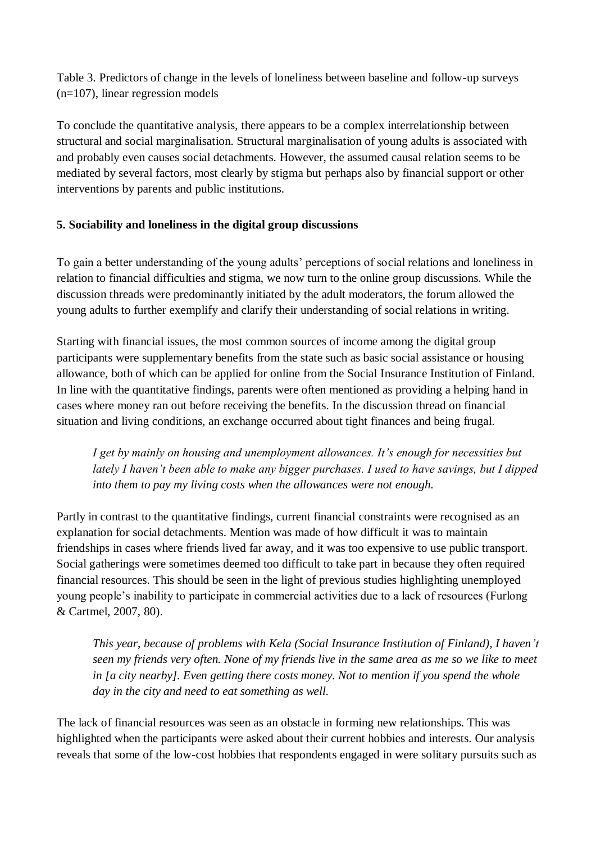Table 3. Predictors of change in the levels of loneliness between baseline and follow-up surveys (n=107), linear regression models

To conclude the quantitative analysis, there appears to be a complex interrelationship between structural and social marginalisation. Structural marginalisation of young adults is associated with and probably even causes social detachments. However, the assumed causal relation seems to be mediated by several factors, most clearly by stigma but perhaps also by financial support or other interventions by parents and public institutions.

#### **5. Sociability and loneliness in the digital group discussions**

To gain a better understanding of the young adults' perceptions of social relations and loneliness in relation to financial difficulties and stigma, we now turn to the online group discussions. While the discussion threads were predominantly initiated by the adult moderators, the forum allowed the young adults to further exemplify and clarify their understanding of social relations in writing.

Starting with financial issues, the most common sources of income among the digital group participants were supplementary benefits from the state such as basic social assistance or housing allowance, both of which can be applied for online from the Social Insurance Institution of Finland. In line with the quantitative findings, parents were often mentioned as providing a helping hand in cases where money ran out before receiving the benefits. In the discussion thread on financial situation and living conditions, an exchange occurred about tight finances and being frugal.

*I get by mainly on housing and unemployment allowances. It's enough for necessities but lately I haven't been able to make any bigger purchases. I used to have savings, but I dipped into them to pay my living costs when the allowances were not enough.* 

Partly in contrast to the quantitative findings, current financial constraints were recognised as an explanation for social detachments. Mention was made of how difficult it was to maintain friendships in cases where friends lived far away, and it was too expensive to use public transport. Social gatherings were sometimes deemed too difficult to take part in because they often required financial resources. This should be seen in the light of previous studies highlighting unemployed young people's inability to participate in commercial activities due to a lack of resources (Furlong & Cartmel, 2007, 80).

*This year, because of problems with Kela (Social Insurance Institution of Finland), I haven't seen my friends very often. None of my friends live in the same area as me so we like to meet in [a city nearby]. Even getting there costs money. Not to mention if you spend the whole day in the city and need to eat something as well.*

The lack of financial resources was seen as an obstacle in forming new relationships. This was highlighted when the participants were asked about their current hobbies and interests. Our analysis reveals that some of the low-cost hobbies that respondents engaged in were solitary pursuits such as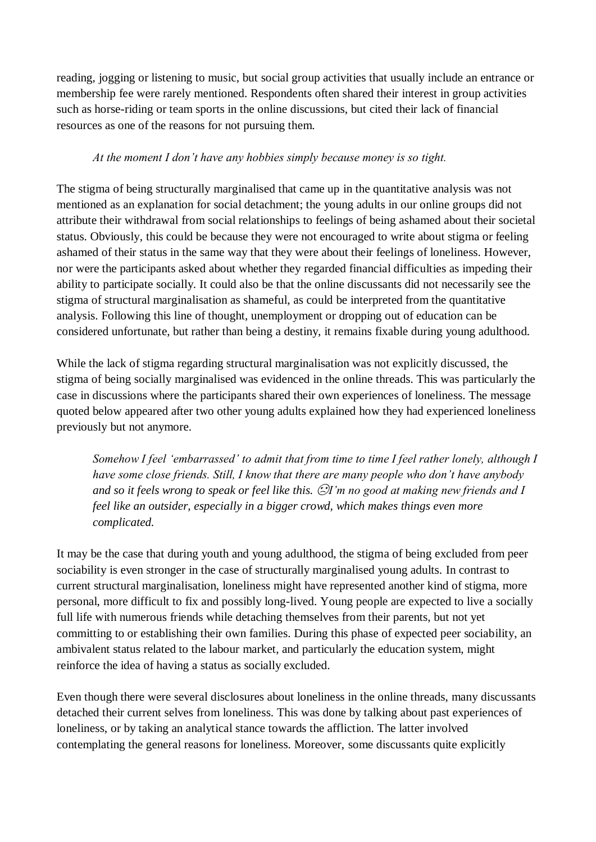reading, jogging or listening to music, but social group activities that usually include an entrance or membership fee were rarely mentioned. Respondents often shared their interest in group activities such as horse-riding or team sports in the online discussions, but cited their lack of financial resources as one of the reasons for not pursuing them.

#### *At the moment I don't have any hobbies simply because money is so tight.*

The stigma of being structurally marginalised that came up in the quantitative analysis was not mentioned as an explanation for social detachment; the young adults in our online groups did not attribute their withdrawal from social relationships to feelings of being ashamed about their societal status. Obviously, this could be because they were not encouraged to write about stigma or feeling ashamed of their status in the same way that they were about their feelings of loneliness. However, nor were the participants asked about whether they regarded financial difficulties as impeding their ability to participate socially. It could also be that the online discussants did not necessarily see the stigma of structural marginalisation as shameful, as could be interpreted from the quantitative analysis. Following this line of thought, unemployment or dropping out of education can be considered unfortunate, but rather than being a destiny, it remains fixable during young adulthood.

While the lack of stigma regarding structural marginalisation was not explicitly discussed, the stigma of being socially marginalised was evidenced in the online threads. This was particularly the case in discussions where the participants shared their own experiences of loneliness. The message quoted below appeared after two other young adults explained how they had experienced loneliness previously but not anymore.

*Somehow I feel 'embarrassed' to admit that from time to time I feel rather lonely, although I have some close friends. Still, I know that there are many people who don't have anybody and so it feels wrong to speak or feel like this.* ☹ *I'm no good at making new friends and I feel like an outsider, especially in a bigger crowd, which makes things even more complicated.* 

It may be the case that during youth and young adulthood, the stigma of being excluded from peer sociability is even stronger in the case of structurally marginalised young adults. In contrast to current structural marginalisation, loneliness might have represented another kind of stigma, more personal, more difficult to fix and possibly long-lived. Young people are expected to live a socially full life with numerous friends while detaching themselves from their parents, but not yet committing to or establishing their own families. During this phase of expected peer sociability, an ambivalent status related to the labour market, and particularly the education system, might reinforce the idea of having a status as socially excluded.

Even though there were several disclosures about loneliness in the online threads, many discussants detached their current selves from loneliness. This was done by talking about past experiences of loneliness, or by taking an analytical stance towards the affliction. The latter involved contemplating the general reasons for loneliness. Moreover, some discussants quite explicitly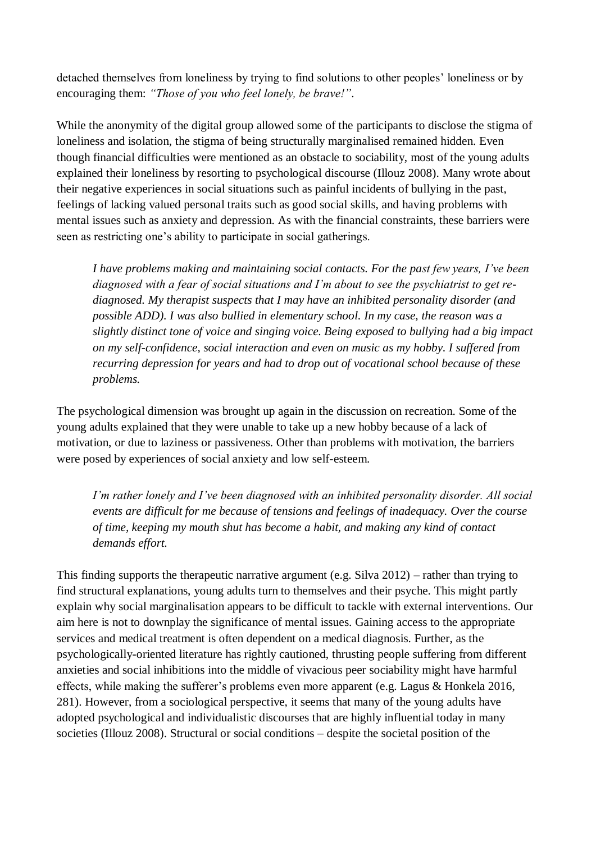detached themselves from loneliness by trying to find solutions to other peoples' loneliness or by encouraging them: *"Those of you who feel lonely, be brave!"*.

While the anonymity of the digital group allowed some of the participants to disclose the stigma of loneliness and isolation, the stigma of being structurally marginalised remained hidden. Even though financial difficulties were mentioned as an obstacle to sociability, most of the young adults explained their loneliness by resorting to psychological discourse (Illouz 2008). Many wrote about their negative experiences in social situations such as painful incidents of bullying in the past, feelings of lacking valued personal traits such as good social skills, and having problems with mental issues such as anxiety and depression. As with the financial constraints, these barriers were seen as restricting one's ability to participate in social gatherings.

*I have problems making and maintaining social contacts. For the past few years, I've been diagnosed with a fear of social situations and I'm about to see the psychiatrist to get rediagnosed. My therapist suspects that I may have an inhibited personality disorder (and possible ADD). I was also bullied in elementary school. In my case, the reason was a slightly distinct tone of voice and singing voice. Being exposed to bullying had a big impact on my self-confidence, social interaction and even on music as my hobby. I suffered from recurring depression for years and had to drop out of vocational school because of these problems.*

The psychological dimension was brought up again in the discussion on recreation. Some of the young adults explained that they were unable to take up a new hobby because of a lack of motivation, or due to laziness or passiveness. Other than problems with motivation, the barriers were posed by experiences of social anxiety and low self-esteem.

*I'm rather lonely and I've been diagnosed with an inhibited personality disorder. All social events are difficult for me because of tensions and feelings of inadequacy. Over the course of time, keeping my mouth shut has become a habit, and making any kind of contact demands effort.*

This finding supports the therapeutic narrative argument (e.g. Silva 2012) – rather than trying to find structural explanations, young adults turn to themselves and their psyche. This might partly explain why social marginalisation appears to be difficult to tackle with external interventions. Our aim here is not to downplay the significance of mental issues. Gaining access to the appropriate services and medical treatment is often dependent on a medical diagnosis. Further, as the psychologically-oriented literature has rightly cautioned, thrusting people suffering from different anxieties and social inhibitions into the middle of vivacious peer sociability might have harmful effects, while making the sufferer's problems even more apparent (e.g. Lagus & Honkela 2016, 281). However, from a sociological perspective, it seems that many of the young adults have adopted psychological and individualistic discourses that are highly influential today in many societies (Illouz 2008). Structural or social conditions – despite the societal position of the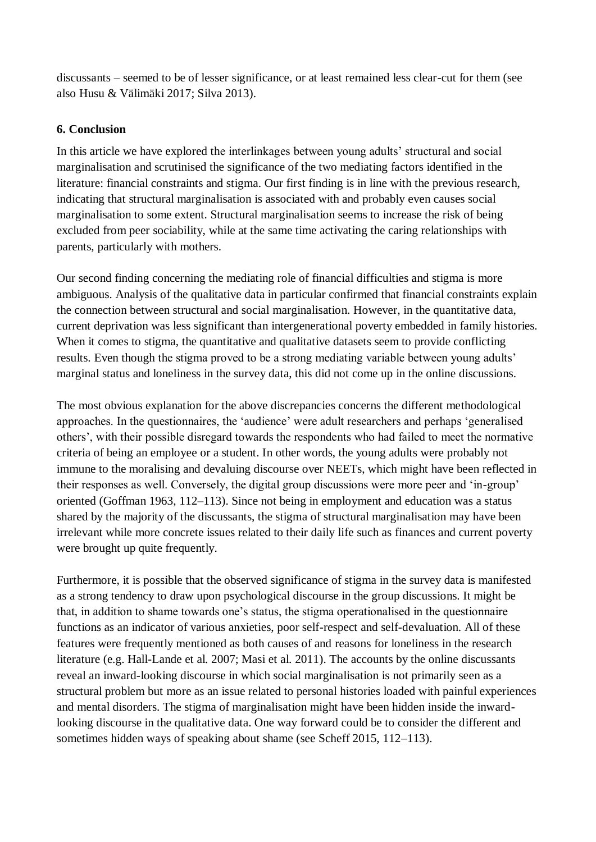discussants – seemed to be of lesser significance, or at least remained less clear-cut for them (see also Husu & Välimäki 2017; Silva 2013).

#### **6. Conclusion**

In this article we have explored the interlinkages between young adults' structural and social marginalisation and scrutinised the significance of the two mediating factors identified in the literature: financial constraints and stigma. Our first finding is in line with the previous research, indicating that structural marginalisation is associated with and probably even causes social marginalisation to some extent. Structural marginalisation seems to increase the risk of being excluded from peer sociability, while at the same time activating the caring relationships with parents, particularly with mothers.

Our second finding concerning the mediating role of financial difficulties and stigma is more ambiguous. Analysis of the qualitative data in particular confirmed that financial constraints explain the connection between structural and social marginalisation. However, in the quantitative data, current deprivation was less significant than intergenerational poverty embedded in family histories. When it comes to stigma, the quantitative and qualitative datasets seem to provide conflicting results. Even though the stigma proved to be a strong mediating variable between young adults' marginal status and loneliness in the survey data, this did not come up in the online discussions.

The most obvious explanation for the above discrepancies concerns the different methodological approaches. In the questionnaires, the 'audience' were adult researchers and perhaps 'generalised others', with their possible disregard towards the respondents who had failed to meet the normative criteria of being an employee or a student. In other words, the young adults were probably not immune to the moralising and devaluing discourse over NEETs, which might have been reflected in their responses as well. Conversely, the digital group discussions were more peer and 'in-group' oriented (Goffman 1963, 112–113). Since not being in employment and education was a status shared by the majority of the discussants, the stigma of structural marginalisation may have been irrelevant while more concrete issues related to their daily life such as finances and current poverty were brought up quite frequently.

Furthermore, it is possible that the observed significance of stigma in the survey data is manifested as a strong tendency to draw upon psychological discourse in the group discussions. It might be that, in addition to shame towards one's status, the stigma operationalised in the questionnaire functions as an indicator of various anxieties, poor self-respect and self-devaluation. All of these features were frequently mentioned as both causes of and reasons for loneliness in the research literature (e.g. Hall-Lande et al. 2007; Masi et al. 2011). The accounts by the online discussants reveal an inward-looking discourse in which social marginalisation is not primarily seen as a structural problem but more as an issue related to personal histories loaded with painful experiences and mental disorders. The stigma of marginalisation might have been hidden inside the inwardlooking discourse in the qualitative data. One way forward could be to consider the different and sometimes hidden ways of speaking about shame (see Scheff 2015, 112–113).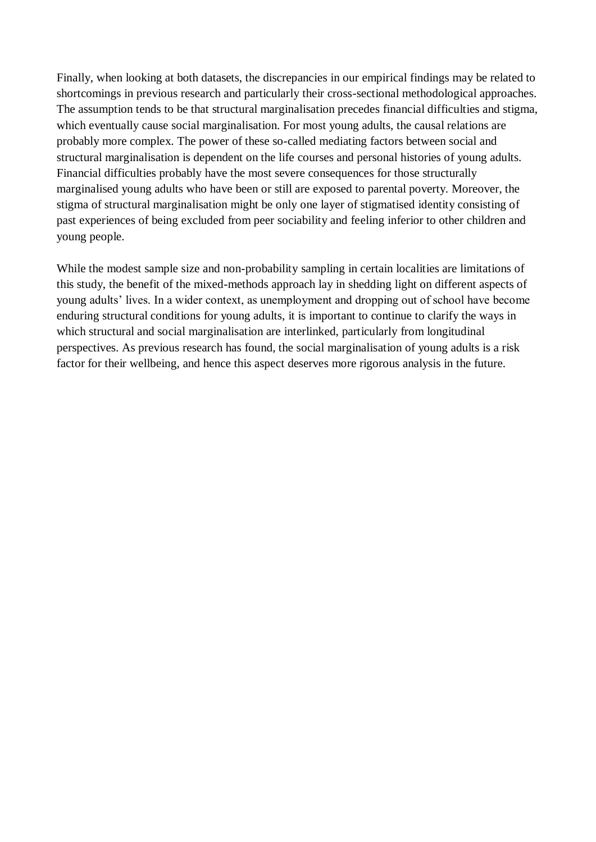Finally, when looking at both datasets, the discrepancies in our empirical findings may be related to shortcomings in previous research and particularly their cross-sectional methodological approaches. The assumption tends to be that structural marginalisation precedes financial difficulties and stigma, which eventually cause social marginalisation. For most young adults, the causal relations are probably more complex. The power of these so-called mediating factors between social and structural marginalisation is dependent on the life courses and personal histories of young adults. Financial difficulties probably have the most severe consequences for those structurally marginalised young adults who have been or still are exposed to parental poverty. Moreover, the stigma of structural marginalisation might be only one layer of stigmatised identity consisting of past experiences of being excluded from peer sociability and feeling inferior to other children and young people.

While the modest sample size and non-probability sampling in certain localities are limitations of this study, the benefit of the mixed-methods approach lay in shedding light on different aspects of young adults' lives. In a wider context, as unemployment and dropping out of school have become enduring structural conditions for young adults, it is important to continue to clarify the ways in which structural and social marginalisation are interlinked, particularly from longitudinal perspectives. As previous research has found, the social marginalisation of young adults is a risk factor for their wellbeing, and hence this aspect deserves more rigorous analysis in the future.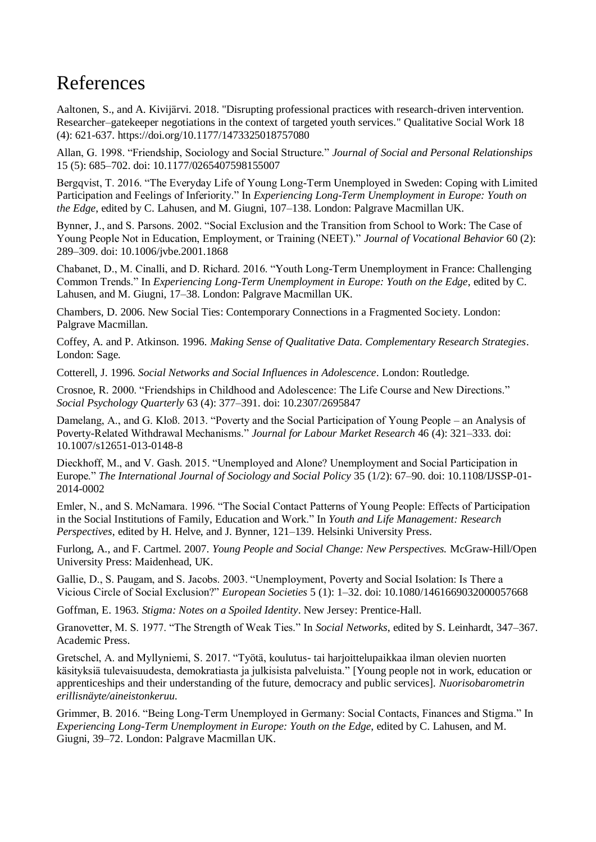## References

Aaltonen, S., and A. Kivijärvi. 2018. "Disrupting professional practices with research-driven intervention. Researcher–gatekeeper negotiations in the context of targeted youth services." Qualitative Social Work 18 (4): 621-637. https://doi.org/10.1177/1473325018757080

Allan, G. 1998. "Friendship, Sociology and Social Structure." *Journal of Social and Personal Relationships* 15 (5): 685–702. doi: 10.1177/0265407598155007

Bergqvist, T. 2016. "The Everyday Life of Young Long-Term Unemployed in Sweden: Coping with Limited Participation and Feelings of Inferiority." In *Experiencing Long-Term Unemployment in Europe: Youth on the Edge*, edited by C. Lahusen, and M. Giugni, 107–138. London: Palgrave Macmillan UK.

Bynner, J., and S. Parsons. 2002. "Social Exclusion and the Transition from School to Work: The Case of Young People Not in Education, Employment, or Training (NEET)." *Journal of Vocational Behavior* 60 (2): 289–309. doi: 10.1006/jvbe.2001.1868

Chabanet, D., M. Cinalli, and D. Richard. 2016. "Youth Long-Term Unemployment in France: Challenging Common Trends." In *Experiencing Long-Term Unemployment in Europe: Youth on the Edge*, edited by C. Lahusen, and M. Giugni, 17–38. London: Palgrave Macmillan UK.

Chambers, D. 2006. New Social Ties: Contemporary Connections in a Fragmented Society. London: Palgrave Macmillan.

Coffey, A. and P. Atkinson. 1996. *Making Sense of Qualitative Data. Complementary Research Strategies*. London: Sage.

Cotterell, J. 1996. *Social Networks and Social Influences in Adolescence*. London: Routledge.

Crosnoe, R. 2000. "Friendships in Childhood and Adolescence: The Life Course and New Directions." *Social Psychology Quarterly* 63 (4): 377–391. doi: 10.2307/2695847

Damelang, A., and G. Kloß. 2013. "Poverty and the Social Participation of Young People – an Analysis of Poverty-Related Withdrawal Mechanisms." *Journal for Labour Market Research* 46 (4): 321–333. doi: 10.1007/s12651-013-0148-8

Dieckhoff, M., and V. Gash. 2015. "Unemployed and Alone? Unemployment and Social Participation in Europe." *The International Journal of Sociology and Social Policy* 35 (1/2): 67–90. doi: 10.1108/IJSSP-01- 2014-0002

Emler, N., and S. McNamara. 1996. "The Social Contact Patterns of Young People: Effects of Participation in the Social Institutions of Family, Education and Work." In *Youth and Life Management: Research Perspectives*, edited by H. Helve, and J. Bynner, 121–139. Helsinki University Press.

Furlong, A., and F. Cartmel. 2007. *Young People and Social Change: New Perspectives.* McGraw-Hill/Open University Press: Maidenhead, UK.

Gallie, D., S. Paugam, and S. Jacobs. 2003. "Unemployment, Poverty and Social Isolation: Is There a Vicious Circle of Social Exclusion?" *European Societies* 5 (1): 1–32. doi: 10.1080/1461669032000057668

Goffman, E. 1963. *Stigma: Notes on a Spoiled Identity*. New Jersey: Prentice-Hall.

Granovetter, M. S. 1977. "The Strength of Weak Ties." In *Social Networks*, edited by S. Leinhardt, 347–367. Academic Press.

Gretschel, A. and Myllyniemi, S. 2017. "Työtä, koulutus- tai harjoittelupaikkaa ilman olevien nuorten käsityksiä tulevaisuudesta, demokratiasta ja julkisista palveluista." [Young people not in work, education or apprenticeships and their understanding of the future, democracy and public services]. *Nuorisobarometrin erillisnäyte/aineistonkeruu.*

Grimmer, B. 2016. "Being Long-Term Unemployed in Germany: Social Contacts, Finances and Stigma." In *Experiencing Long-Term Unemployment in Europe: Youth on the Edge*, edited by C. Lahusen, and M. Giugni, 39–72. London: Palgrave Macmillan UK.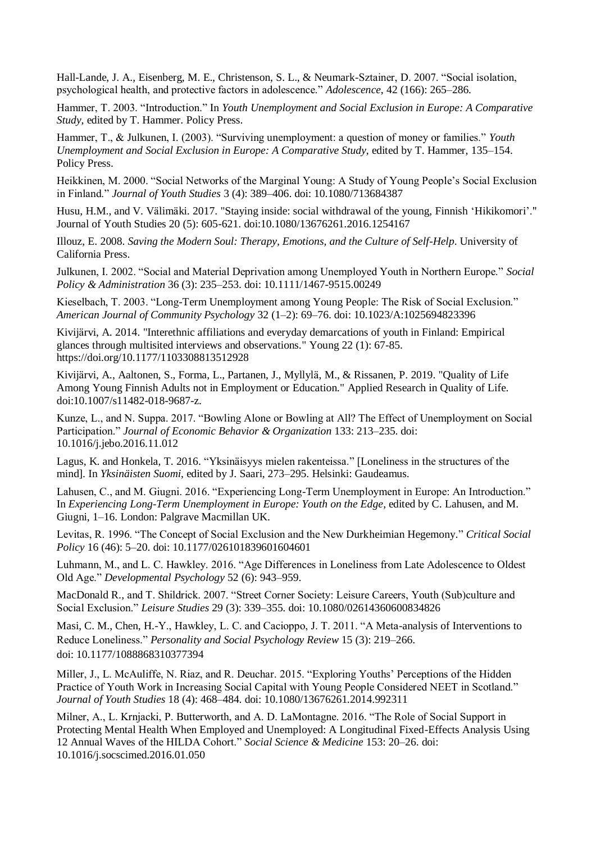Hall-Lande, J. A., Eisenberg, M. E., Christenson, S. L., & Neumark-Sztainer, D. 2007. "Social isolation, psychological health, and protective factors in adolescence." *Adolescence*, 42 (166): 265–286.

Hammer, T. 2003. "Introduction." In *Youth Unemployment and Social Exclusion in Europe: A Comparative Study*, edited by T. Hammer. Policy Press.

Hammer, T., & Julkunen, I. (2003). "Surviving unemployment: a question of money or families." *Youth Unemployment and Social Exclusion in Europe: A Comparative Study*, edited by T. Hammer, 135–154. Policy Press.

Heikkinen, M. 2000. "Social Networks of the Marginal Young: A Study of Young People's Social Exclusion in Finland." *Journal of Youth Studies* 3 (4): 389–406. doi: 10.1080/713684387

Husu, H.M., and V. Välimäki. 2017. "Staying inside: social withdrawal of the young, Finnish 'Hikikomori'." Journal of Youth Studies 20 (5): 605-621. doi:10.1080/13676261.2016.1254167

Illouz, E. 2008. *Saving the Modern Soul: Therapy, Emotions, and the Culture of Self-Help*. University of California Press.

Julkunen, I. 2002. "Social and Material Deprivation among Unemployed Youth in Northern Europe." *Social Policy & Administration* 36 (3): 235–253. doi: 10.1111/1467-9515.00249

Kieselbach, T. 2003. "Long-Term Unemployment among Young People: The Risk of Social Exclusion." *American Journal of Community Psychology* 32 (1–2): 69–76. doi: 10.1023/A:1025694823396

Kivijärvi, A. 2014. "Interethnic affiliations and everyday demarcations of youth in Finland: Empirical glances through multisited interviews and observations." Young 22 (1): 67-85. https://doi.org/10.1177/1103308813512928

Kivijärvi, A., Aaltonen, S., Forma, L., Partanen, J., Myllylä, M., & Rissanen, P. 2019. "Quality of Life Among Young Finnish Adults not in Employment or Education." Applied Research in Quality of Life. doi:10.1007/s11482-018-9687-z.

Kunze, L., and N. Suppa. 2017. "Bowling Alone or Bowling at All? The Effect of Unemployment on Social Participation." *Journal of Economic Behavior & Organization* 133: 213–235. doi: 10.1016/j.jebo.2016.11.012

Lagus, K. and Honkela, T. 2016. "Yksinäisyys mielen rakenteissa." [Loneliness in the structures of the mind]. In *Yksinäisten Suomi*, edited by J. Saari, 273–295. Helsinki: Gaudeamus.

Lahusen, C., and M. Giugni. 2016. "Experiencing Long-Term Unemployment in Europe: An Introduction." In *Experiencing Long-Term Unemployment in Europe: Youth on the Edge*, edited by C. Lahusen, and M. Giugni, 1–16. London: Palgrave Macmillan UK.

Levitas, R. 1996. "The Concept of Social Exclusion and the New Durkheimian Hegemony*.*" *Critical Social Policy* 16 (46): 5–20. doi: 10.1177/026101839601604601

Luhmann, M., and L. C. Hawkley. 2016. "Age Differences in Loneliness from Late Adolescence to Oldest Old Age." *Developmental Psychology* 52 (6): 943–959.

MacDonald R., and T. Shildrick. 2007. "Street Corner Society: Leisure Careers, Youth (Sub)culture and Social Exclusion." *Leisure Studies* 29 (3): 339–355. doi: 10.1080/02614360600834826

Masi, C. M., Chen, H.-Y., Hawkley, L. C. and Cacioppo, J. T. 2011. "A Meta-analysis of Interventions to Reduce Loneliness." *Personality and Social Psychology Review* 15 (3): 219–266. doi: [10.1177/1088868310377394](https://dx.doi.org/10.1177%2F1088868310377394)

Miller, J., L. McAuliffe, N. Riaz, and R. Deuchar. 2015. "Exploring Youths' Perceptions of the Hidden Practice of Youth Work in Increasing Social Capital with Young People Considered NEET in Scotland." *Journal of Youth Studies* 18 (4): 468–484. doi: 10.1080/13676261.2014.992311

Milner, A., L. Krnjacki, P. Butterworth, and A. D. LaMontagne. 2016. "The Role of Social Support in Protecting Mental Health When Employed and Unemployed: A Longitudinal Fixed-Effects Analysis Using 12 Annual Waves of the HILDA Cohort." *Social Science & Medicine* 153: 20–26. doi: 10.1016/j.socscimed.2016.01.050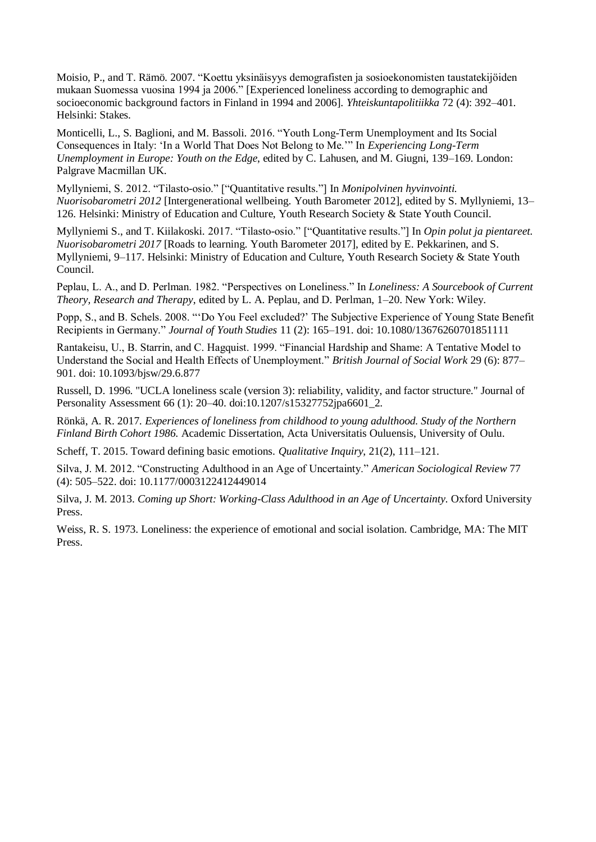Moisio, P., and T. Rämö. 2007. "Koettu yksinäisyys demografisten ja sosioekonomisten taustatekijöiden mukaan Suomessa vuosina 1994 ja 2006." [Experienced loneliness according to demographic and socioeconomic background factors in Finland in 1994 and 2006]. *Yhteiskuntapolitiikka* 72 (4): 392–401. Helsinki: Stakes.

Monticelli, L., S. Baglioni, and M. Bassoli. 2016. "Youth Long-Term Unemployment and Its Social Consequences in Italy: 'In a World That Does Not Belong to Me.'" In *Experiencing Long-Term Unemployment in Europe: Youth on the Edge*, edited by C. Lahusen, and M. Giugni, 139–169. London: Palgrave Macmillan UK.

Myllyniemi, S. 2012. "Tilasto-osio." ["Quantitative results."] In *Monipolvinen hyvinvointi. Nuorisobarometri 2012* [Intergenerational wellbeing. Youth Barometer 2012], edited by S. Myllyniemi, 13– 126. Helsinki: Ministry of Education and Culture, Youth Research Society & State Youth Council.

Myllyniemi S., and T. Kiilakoski. 2017. "Tilasto-osio." ["Quantitative results."] In *Opin polut ja pientareet. Nuorisobarometri 2017* [Roads to learning. Youth Barometer 2017], edited by E. Pekkarinen, and S. Myllyniemi, 9–117. Helsinki: Ministry of Education and Culture, Youth Research Society & State Youth Council.

Peplau, L. A., and D. Perlman. 1982. "Perspectives on Loneliness." In *Loneliness: A Sourcebook of Current Theory, Research and Therapy*, edited by L. A. Peplau, and D. Perlman, 1–20. New York: Wiley.

Popp, S., and B. Schels. 2008. "'Do You Feel excluded?' The Subjective Experience of Young State Benefit Recipients in Germany." *Journal of Youth Studies* 11 (2): 165–191. doi: 10.1080/13676260701851111

Rantakeisu, U., B. Starrin, and C. Hagquist. 1999. "Financial Hardship and Shame: A Tentative Model to Understand the Social and Health Effects of Unemployment." *British Journal of Social Work* 29 (6): 877– 901. doi: 10.1093/bjsw/29.6.877

Russell, D. 1996. "UCLA loneliness scale (version 3): reliability, validity, and factor structure." Journal of Personality Assessment 66 (1): 20–40. doi:10.1207/s15327752jpa6601\_2.

Rönkä, A. R. 2017. *Experiences of loneliness from childhood to young adulthood. Study of the Northern Finland Birth Cohort 1986.* Academic Dissertation, Acta Universitatis Ouluensis, University of Oulu.

Scheff, T. 2015. Toward defining basic emotions. *Qualitative Inquiry*, 21(2), 111–121.

Silva, J. M. 2012. "Constructing Adulthood in an Age of Uncertainty." *American Sociological Review* 77 (4): 505–522. doi: 10.1177/0003122412449014

Silva, J. M. 2013. *Coming up Short: Working-Class Adulthood in an Age of Uncertainty.* Oxford University Press.

Weiss, R. S. 1973. Loneliness: the experience of emotional and social isolation. Cambridge, MA: The MIT Press.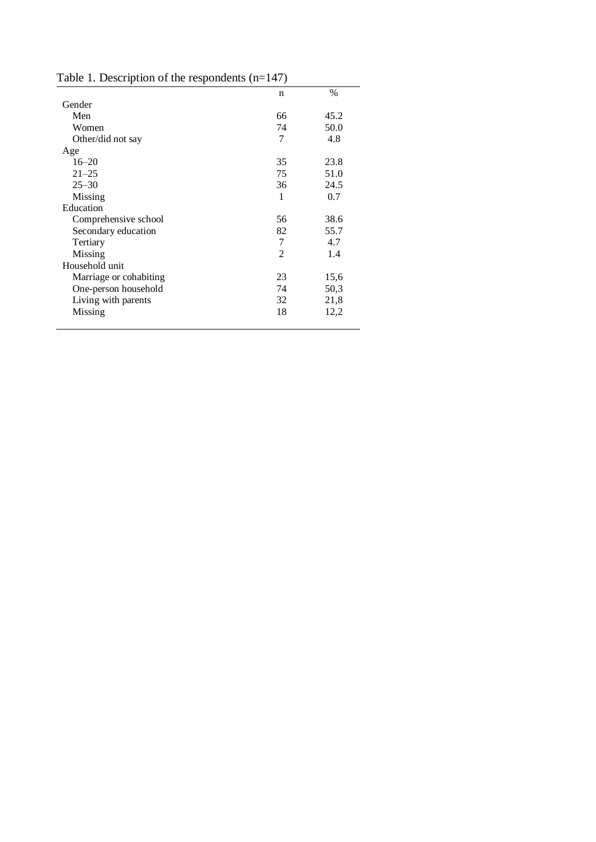| racio 1. Besemption of the respondents (if |    |      |
|--------------------------------------------|----|------|
|                                            | n  | $\%$ |
| Gender                                     |    |      |
| Men                                        | 66 | 45.2 |
| Women                                      | 74 | 50.0 |
| Other/did not say                          | 7  | 4.8  |
| Age                                        |    |      |
| $16 - 20$                                  | 35 | 23.8 |
| $21 - 25$                                  | 75 | 51.0 |
| $25 - 30$                                  | 36 | 24.5 |
| Missing                                    | 1  | 0.7  |
| Education                                  |    |      |
| Comprehensive school                       | 56 | 38.6 |
| Secondary education                        | 82 | 55.7 |
| Tertiary                                   | 7  | 4.7  |
| Missing                                    | 2  | 1.4  |
| Household unit                             |    |      |
| Marriage or cohabiting                     | 23 | 15,6 |
| One-person household                       | 74 | 50,3 |
| Living with parents                        | 32 | 21,8 |
| Missing                                    | 18 | 12,2 |
|                                            |    |      |

Table 1. Description of the respondents (n=147)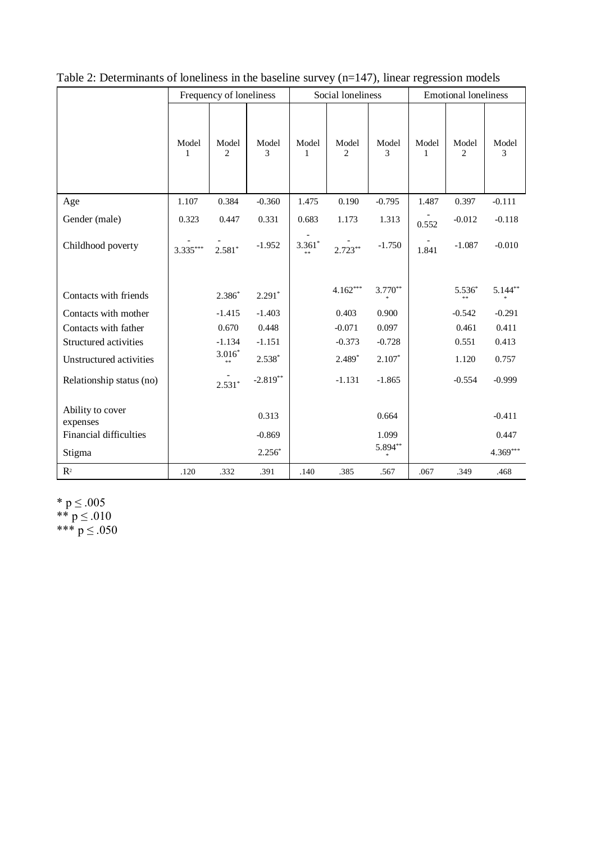|                               | Frequency of loneliness |                         |            | Social loneliness |            |            | <b>Emotional loneliness</b> |                |            |
|-------------------------------|-------------------------|-------------------------|------------|-------------------|------------|------------|-----------------------------|----------------|------------|
|                               | Model<br>1              | Model<br>$\overline{c}$ | Model<br>3 | Model<br>1        | Model<br>2 | Model<br>3 | Model<br>1                  | Model<br>2     | Model<br>3 |
| Age                           | 1.107                   | 0.384                   | $-0.360$   | 1.475             | 0.190      | $-0.795$   | 1.487                       | 0.397          | $-0.111$   |
| Gender (male)                 | 0.323                   | 0.447                   | 0.331      | 0.683             | 1.173      | 1.313      | 0.552                       | $-0.012$       | $-0.118$   |
| Childhood poverty             | $3.335***$              | $2.581*$                | $-1.952$   | $3.361*$          | $2.723**$  | $-1.750$   | 1.841                       | $-1.087$       | $-0.010$   |
| Contacts with friends         |                         | $2.386*$                | $2.291*$   |                   | $4.162***$ | $3.770**$  |                             | $5.536*$<br>** | $5.144$ ** |
| Contacts with mother          |                         | $-1.415$                | $-1.403$   |                   | 0.403      | 0.900      |                             | $-0.542$       | $-0.291$   |
| Contacts with father          |                         | 0.670                   | 0.448      |                   | $-0.071$   | 0.097      |                             | 0.461          | 0.411      |
| Structured activities         |                         | $-1.134$                | $-1.151$   |                   | $-0.373$   | $-0.728$   |                             | 0.551          | 0.413      |
| Unstructured activities       |                         | $3.016*$<br>$**$        | $2.538*$   |                   | $2.489*$   | $2.107*$   |                             | 1.120          | 0.757      |
| Relationship status (no)      |                         | $2.531*$                | $-2.819**$ |                   | $-1.131$   | $-1.865$   |                             | $-0.554$       | $-0.999$   |
| Ability to cover<br>expenses  |                         |                         | 0.313      |                   |            | 0.664      |                             |                | $-0.411$   |
| <b>Financial difficulties</b> |                         |                         | $-0.869$   |                   |            | 1.099      |                             |                | 0.447      |
| Stigma                        |                         |                         | $2.256*$   |                   |            | 5.894**    |                             |                | $4.369***$ |
| $\mathbb{R}^2$                | .120                    | .332                    | .391       | .140              | .385       | .567       | .067                        | .349           | .468       |

### Table 2: Determinants of loneliness in the baseline survey (n=147), linear regression models

\*  $p \le 0.005$ \*\*  $p \le 0.010$ \*\*\*  $p \le 0.050$